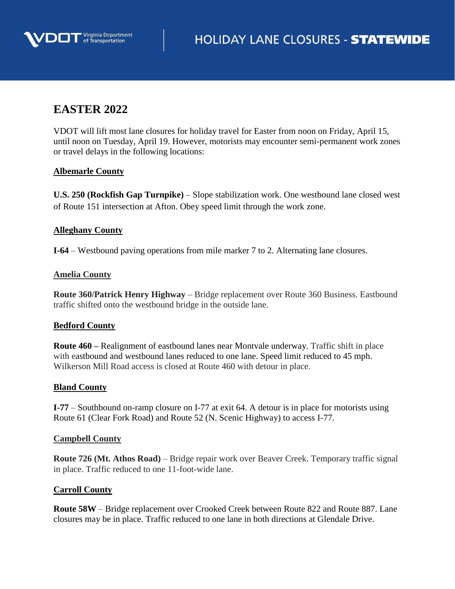

# **EASTER 2022**

VDOT will lift most lane closures for holiday travel for Easter from noon on Friday, April 15, until noon on Tuesday, April 19. However, motorists may encounter semi-permanent work zones or travel delays in the following locations:

# **Albemarle County**

**U.S. 250 (Rockfish Gap Turnpike)** – Slope stabilization work. One westbound lane closed west of Route 151 intersection at Afton. Obey speed limit through the work zone.

# **Alleghany County**

**I-64** – Westbound paving operations from mile marker 7 to 2. Alternating lane closures.

## **Amelia County**

**Route 360/Patrick Henry Highway** – Bridge replacement over Route 360 Business. Eastbound traffic shifted onto the westbound bridge in the outside lane.

## **Bedford County**

**Route 460 –** Realignment of eastbound lanes near Montvale underway. Traffic shift in place with eastbound and westbound lanes reduced to one lane. Speed limit reduced to 45 mph. Wilkerson Mill Road access is closed at Route 460 with detour in place.

## **Bland County**

**I-77** – Southbound on-ramp closure on I-77 at exit 64. A detour is in place for motorists using Route 61 (Clear Fork Road) and Route 52 (N. Scenic Highway) to access I-77.

## **Campbell County**

**Route 726 (Mt. Athos Road)** – Bridge repair work over Beaver Creek. Temporary traffic signal in place. Traffic reduced to one 11-foot-wide lane.

## **Carroll County**

**Route 58W** – Bridge replacement over Crooked Creek between Route 822 and Route 887. Lane closures may be in place. Traffic reduced to one lane in both directions at Glendale Drive.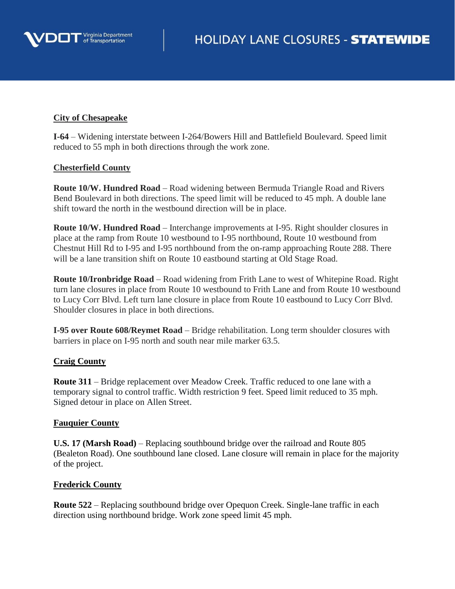

# **City of Chesapeake**

**I-64** – Widening interstate between I-264/Bowers Hill and Battlefield Boulevard. Speed limit reduced to 55 mph in both directions through the work zone.

## **Chesterfield County**

**Route 10/W. Hundred Road** – Road widening between Bermuda Triangle Road and Rivers Bend Boulevard in both directions. The speed limit will be reduced to 45 mph. A double lane shift toward the north in the westbound direction will be in place.

**Route 10/W. Hundred Road** – Interchange improvements at I-95. Right shoulder closures in place at the ramp from Route 10 westbound to I-95 northbound, Route 10 westbound from Chestnut Hill Rd to I-95 and I-95 northbound from the on-ramp approaching Route 288. There will be a lane transition shift on Route 10 eastbound starting at Old Stage Road.

**Route 10/Ironbridge Road** – Road widening from Frith Lane to west of Whitepine Road. Right turn lane closures in place from Route 10 westbound to Frith Lane and from Route 10 westbound to Lucy Corr Blvd. Left turn lane closure in place from Route 10 eastbound to Lucy Corr Blvd. Shoulder closures in place in both directions.

**I-95 over Route 608/Reymet Road** – Bridge rehabilitation. Long term shoulder closures with barriers in place on I-95 north and south near mile marker 63.5.

## **Craig County**

**Route 311** – Bridge replacement over Meadow Creek. Traffic reduced to one lane with a temporary signal to control traffic. Width restriction 9 feet. Speed limit reduced to 35 mph. Signed detour in place on Allen Street.

## **Fauquier County**

**U.S. 17 (Marsh Road)** – Replacing southbound bridge over the railroad and Route 805 (Bealeton Road). One southbound lane closed. Lane closure will remain in place for the majority of the project.

## **Frederick County**

**Route 522** – Replacing southbound bridge over Opequon Creek. Single-lane traffic in each direction using northbound bridge. Work zone speed limit 45 mph.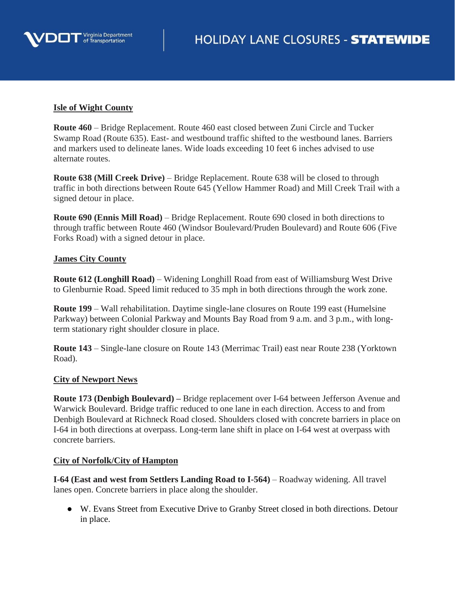

## **Isle of Wight County**

**Route 460** – Bridge Replacement. Route 460 east closed between Zuni Circle and Tucker Swamp Road (Route 635). East- and westbound traffic shifted to the westbound lanes. Barriers and markers used to delineate lanes. Wide loads exceeding 10 feet 6 inches advised to use alternate routes.

**Route 638 (Mill Creek Drive)** – Bridge Replacement. Route 638 will be closed to through traffic in both directions between Route 645 (Yellow Hammer Road) and Mill Creek Trail with a signed detour in place.

**Route 690 (Ennis Mill Road)** – Bridge Replacement. Route 690 closed in both directions to through traffic between Route 460 (Windsor Boulevard/Pruden Boulevard) and Route 606 (Five Forks Road) with a signed detour in place.

## **James City County**

**Route 612 (Longhill Road)** – Widening Longhill Road from east of Williamsburg West Drive to Glenburnie Road. Speed limit reduced to 35 mph in both directions through the work zone.

**Route 199** – Wall rehabilitation. Daytime single-lane closures on Route 199 east (Humelsine Parkway) between Colonial Parkway and Mounts Bay Road from 9 a.m. and 3 p.m., with longterm stationary right shoulder closure in place.

**Route 143** – Single-lane closure on Route 143 (Merrimac Trail) east near Route 238 (Yorktown Road).

## **City of Newport News**

**Route 173 (Denbigh Boulevard) –** Bridge replacement over I-64 between Jefferson Avenue and Warwick Boulevard. Bridge traffic reduced to one lane in each direction. Access to and from Denbigh Boulevard at Richneck Road closed. Shoulders closed with concrete barriers in place on I-64 in both directions at overpass. Long-term lane shift in place on I-64 west at overpass with concrete barriers.

## **City of Norfolk/City of Hampton**

**I-64 (East and west from Settlers Landing Road to I-564)** – Roadway widening. All travel lanes open. Concrete barriers in place along the shoulder.

● W. Evans Street from Executive Drive to Granby Street closed in both directions. Detour in place.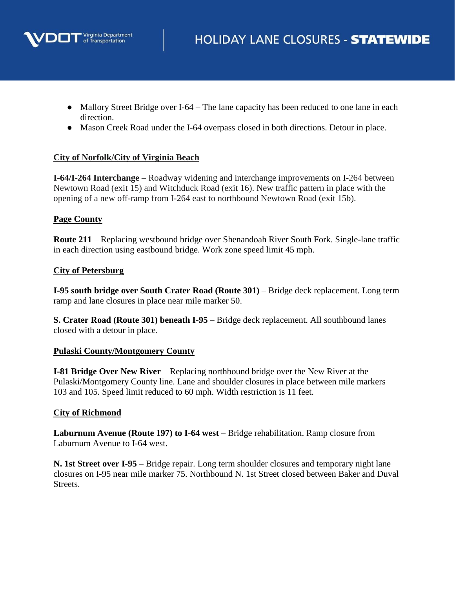

- Mallory Street Bridge over I-64 The lane capacity has been reduced to one lane in each direction.
- Mason Creek Road under the I-64 overpass closed in both directions. Detour in place.

# **City of Norfolk/City of Virginia Beach**

**I-64/I-264 Interchange** – Roadway widening and interchange improvements on I-264 between Newtown Road (exit 15) and Witchduck Road (exit 16). New traffic pattern in place with the opening of a new off-ramp from I-264 east to northbound Newtown Road (exit 15b).

# **Page County**

**Route 211** – Replacing westbound bridge over Shenandoah River South Fork. Single-lane traffic in each direction using eastbound bridge. Work zone speed limit 45 mph.

# **City of Petersburg**

**I-95 south bridge over South Crater Road (Route 301)** – Bridge deck replacement. Long term ramp and lane closures in place near mile marker 50.

**S. Crater Road (Route 301) beneath I-95** – Bridge deck replacement. All southbound lanes closed with a detour in place.

# **Pulaski County/Montgomery County**

**I-81 Bridge Over New River** – Replacing northbound bridge over the New River at the Pulaski/Montgomery County line. Lane and shoulder closures in place between mile markers 103 and 105. Speed limit reduced to 60 mph. Width restriction is 11 feet.

# **City of Richmond**

**Laburnum Avenue (Route 197) to I-64 west** – Bridge rehabilitation. Ramp closure from Laburnum Avenue to I-64 west.

**N. 1st Street over I-95** – Bridge repair. Long term shoulder closures and temporary night lane closures on I-95 near mile marker 75. Northbound N. 1st Street closed between Baker and Duval Streets.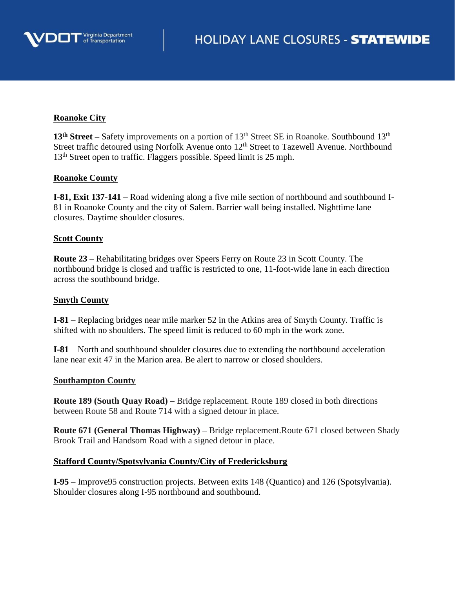

# **Roanoke City**

13<sup>th</sup> Street – Safety improvements on a portion of 13<sup>th</sup> Street SE in Roanoke. Southbound 13<sup>th</sup> Street traffic detoured using Norfolk Avenue onto 12<sup>th</sup> Street to Tazewell Avenue. Northbound 13<sup>th</sup> Street open to traffic. Flaggers possible. Speed limit is 25 mph.

## **Roanoke County**

 **I-81, Exit 137-141 –** Road widening along a five mile section of northbound and southbound I-81 in Roanoke County and the city of Salem. Barrier wall being installed. Nighttime lane closures. Daytime shoulder closures.

## **Scott County**

**Route 23** – Rehabilitating bridges over Speers Ferry on Route 23 in Scott County. The northbound bridge is closed and traffic is restricted to one, 11-foot-wide lane in each direction across the southbound bridge.

## **Smyth County**

**I-81** – Replacing bridges near mile marker 52 in the Atkins area of Smyth County. Traffic is shifted with no shoulders. The speed limit is reduced to 60 mph in the work zone.

**I-81** – North and southbound shoulder closures due to extending the northbound acceleration lane near exit 47 in the Marion area. Be alert to narrow or closed shoulders.

## **Southampton County**

**Route 189 (South Quay Road)** – Bridge replacement. Route 189 closed in both directions between Route 58 and Route 714 with a signed detour in place.

**Route 671 (General Thomas Highway) –** Bridge replacement.Route 671 closed between Shady Brook Trail and Handsom Road with a signed detour in place.

## **Stafford County/Spotsylvania County/City of Fredericksburg**

**I-95** – Improve95 construction projects. Between exits 148 (Quantico) and 126 (Spotsylvania). Shoulder closures along I-95 northbound and southbound.